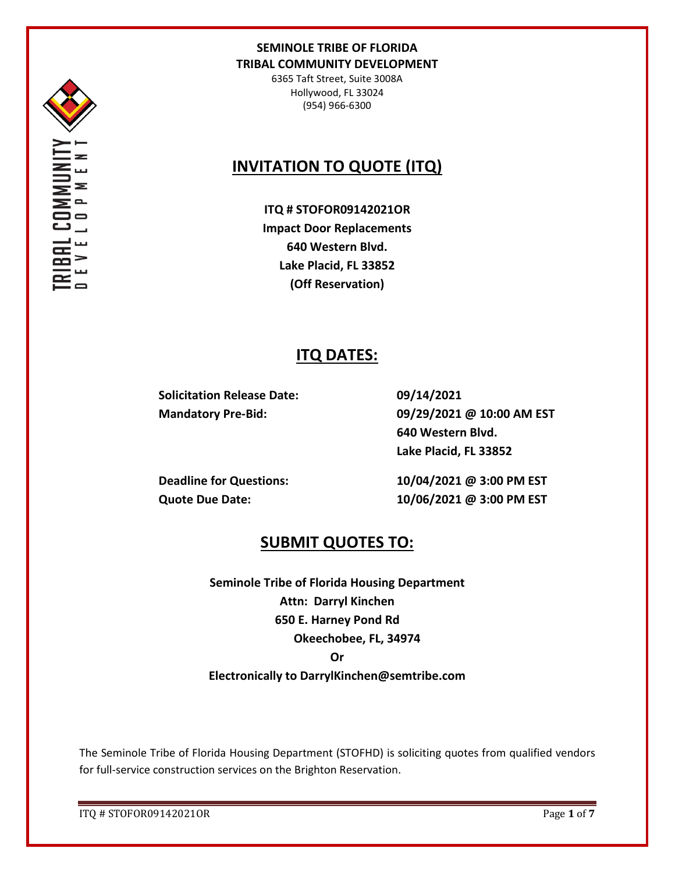

6365 Taft Street, Suite 3008A Hollywood, FL 33024 (954) 966-6300

# **INVITATION TO QUOTE (ITQ)**

**ITQ # STOFOR09142021OR Impact Door Replacements 640 Western Blvd. Lake Placid, FL 33852 (Off Reservation)**

## **ITQ DATES:**

**Solicitation Release Date: 09/14/2021**

**Mandatory Pre-Bid: 09/29/2021 @ 10:00 AM EST 640 Western Blvd. Lake Placid, FL 33852**

**Deadline for Questions: 10/04/2021 @ 3:00 PM EST Quote Due Date: 10/06/2021 @ 3:00 PM EST**

## **SUBMIT QUOTES TO:**

**Seminole Tribe of Florida Housing Department Attn: Darryl Kinchen 650 E. Harney Pond Rd Okeechobee, FL, 34974 Or Electronically to DarrylKinchen@semtribe.com**

The Seminole Tribe of Florida Housing Department (STOFHD) is soliciting quotes from qualified vendors for full-service construction services on the Brighton Reservation.

ITQ # STOFOR09142021OR Page **1** of **7**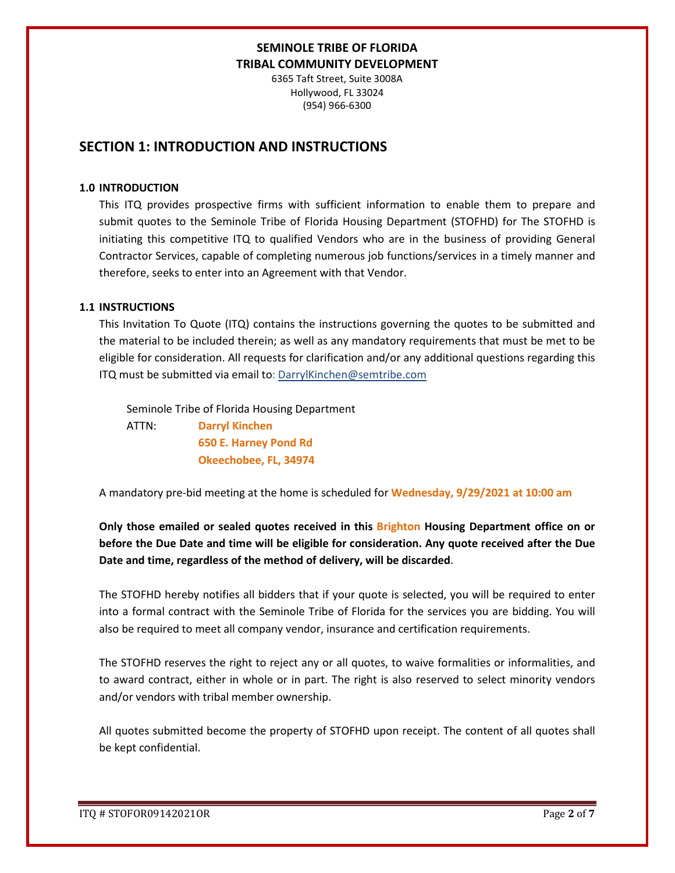6365 Taft Street, Suite 3008A Hollywood, FL 33024 (954) 966-6300

## **SECTION 1: INTRODUCTION AND INSTRUCTIONS**

### **1.0 INTRODUCTION**

This ITQ provides prospective firms with sufficient information to enable them to prepare and submit quotes to the Seminole Tribe of Florida Housing Department (STOFHD) for The STOFHD is initiating this competitive ITQ to qualified Vendors who are in the business of providing General Contractor Services, capable of completing numerous job functions/services in a timely manner and therefore, seeks to enter into an Agreement with that Vendor.

### **1.1 INSTRUCTIONS**

This Invitation To Quote (ITQ) contains the instructions governing the quotes to be submitted and the material to be included therein; as well as any mandatory requirements that must be met to be eligible for consideration. All requests for clarification and/or any additional questions regarding this ITQ must be submitted via email to: DarrylKinchen@semtribe.com

 Seminole Tribe of Florida Housing Department ATTN: **Darryl Kinchen**

 **650 E. Harney Pond Rd Okeechobee, FL, 34974**

A mandatory pre-bid meeting at the home is scheduled for **Wednesday, 9/29/2021 at 10:00 am**

**Only those emailed or sealed quotes received in this Brighton Housing Department office on or before the Due Date and time will be eligible for consideration. Any quote received after the Due Date and time, regardless of the method of delivery, will be discarded**.

The STOFHD hereby notifies all bidders that if your quote is selected, you will be required to enter into a formal contract with the Seminole Tribe of Florida for the services you are bidding. You will also be required to meet all company vendor, insurance and certification requirements.

The STOFHD reserves the right to reject any or all quotes, to waive formalities or informalities, and to award contract, either in whole or in part. The right is also reserved to select minority vendors and/or vendors with tribal member ownership.

All quotes submitted become the property of STOFHD upon receipt. The content of all quotes shall be kept confidential.

ITQ # STOFOR09142021OR Page **2** of **7**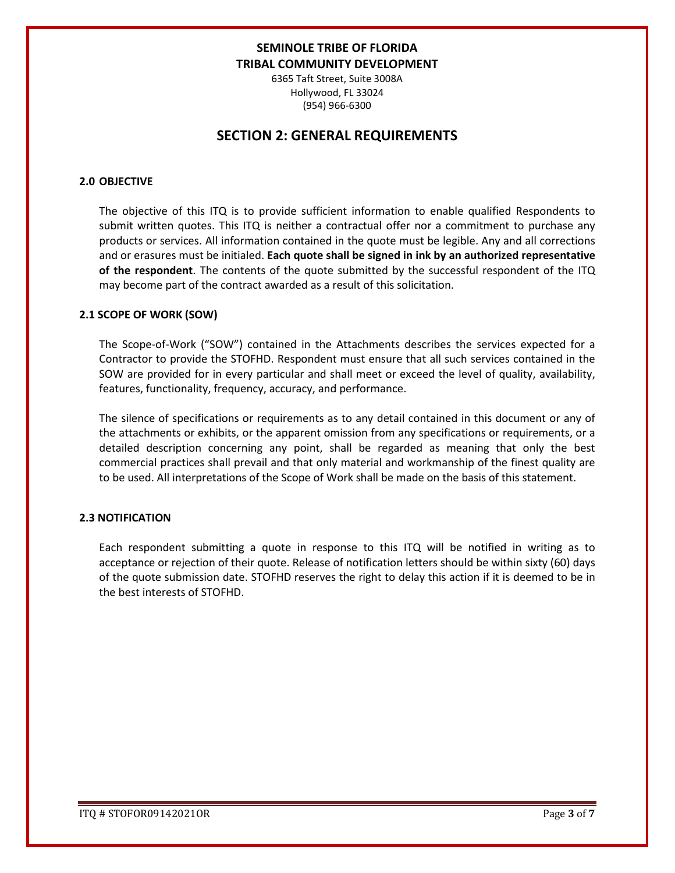6365 Taft Street, Suite 3008A Hollywood, FL 33024 (954) 966-6300

## **SECTION 2: GENERAL REQUIREMENTS**

### **2.0 OBJECTIVE**

The objective of this ITQ is to provide sufficient information to enable qualified Respondents to submit written quotes. This ITQ is neither a contractual offer nor a commitment to purchase any products or services. All information contained in the quote must be legible. Any and all corrections and or erasures must be initialed. **Each quote shall be signed in ink by an authorized representative of the respondent**. The contents of the quote submitted by the successful respondent of the ITQ may become part of the contract awarded as a result of this solicitation.

#### **2.1 SCOPE OF WORK (SOW)**

The Scope-of-Work ("SOW") contained in the Attachments describes the services expected for a Contractor to provide the STOFHD. Respondent must ensure that all such services contained in the SOW are provided for in every particular and shall meet or exceed the level of quality, availability, features, functionality, frequency, accuracy, and performance.

The silence of specifications or requirements as to any detail contained in this document or any of the attachments or exhibits, or the apparent omission from any specifications or requirements, or a detailed description concerning any point, shall be regarded as meaning that only the best commercial practices shall prevail and that only material and workmanship of the finest quality are to be used. All interpretations of the Scope of Work shall be made on the basis of this statement.

#### **2.3 NOTIFICATION**

Each respondent submitting a quote in response to this ITQ will be notified in writing as to acceptance or rejection of their quote. Release of notification letters should be within sixty (60) days of the quote submission date. STOFHD reserves the right to delay this action if it is deemed to be in the best interests of STOFHD.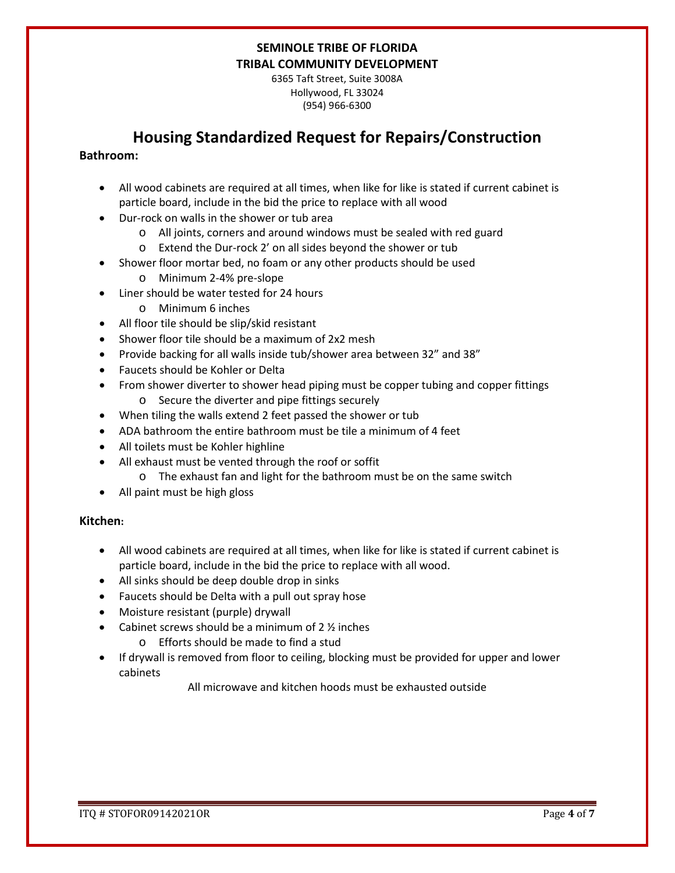6365 Taft Street, Suite 3008A Hollywood, FL 33024 (954) 966-6300

## **Housing Standardized Request for Repairs/Construction**

### **Bathroom:**

- All wood cabinets are required at all times, when like for like is stated if current cabinet is particle board, include in the bid the price to replace with all wood
- Dur-rock on walls in the shower or tub area
	- o All joints, corners and around windows must be sealed with red guard
	- o Extend the Dur-rock 2' on all sides beyond the shower or tub
- Shower floor mortar bed, no foam or any other products should be used
	- o Minimum 2-4% pre-slope
- Liner should be water tested for 24 hours
	- o Minimum 6 inches
- All floor tile should be slip/skid resistant
- Shower floor tile should be a maximum of 2x2 mesh
- Provide backing for all walls inside tub/shower area between 32" and 38"
- Faucets should be Kohler or Delta
- From shower diverter to shower head piping must be copper tubing and copper fittings o Secure the diverter and pipe fittings securely
- When tiling the walls extend 2 feet passed the shower or tub
- ADA bathroom the entire bathroom must be tile a minimum of 4 feet
- All toilets must be Kohler highline
- All exhaust must be vented through the roof or soffit
	- o The exhaust fan and light for the bathroom must be on the same switch
- All paint must be high gloss

### **Kitchen:**

- All wood cabinets are required at all times, when like for like is stated if current cabinet is particle board, include in the bid the price to replace with all wood.
- All sinks should be deep double drop in sinks
- Faucets should be Delta with a pull out spray hose
- Moisture resistant (purple) drywall
- Cabinet screws should be a minimum of  $2 \frac{1}{2}$  inches
	- o Efforts should be made to find a stud
- If drywall is removed from floor to ceiling, blocking must be provided for upper and lower cabinets

All microwave and kitchen hoods must be exhausted outside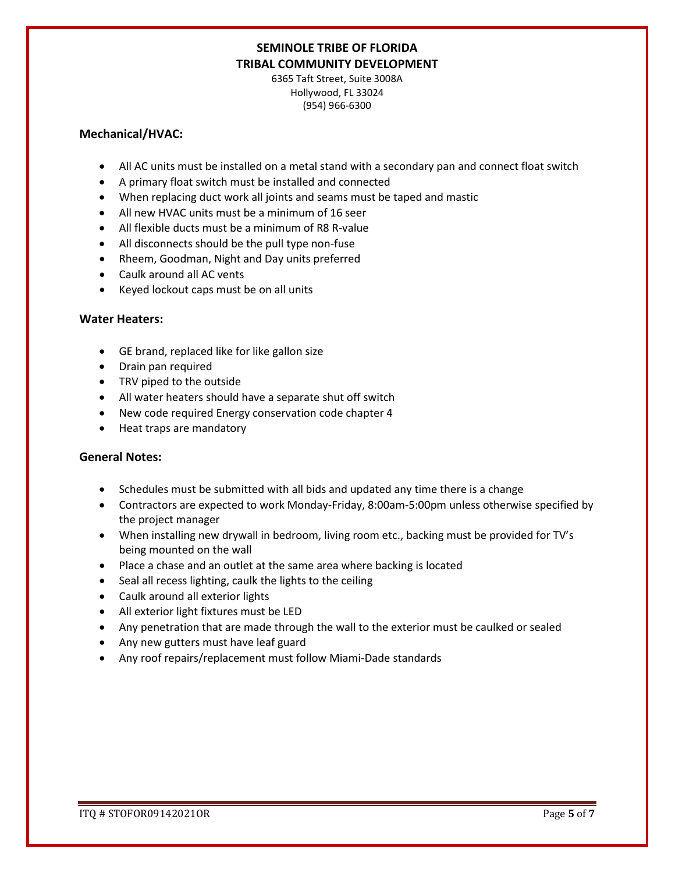6365 Taft Street, Suite 3008A Hollywood, FL 33024 (954) 966-6300

### **Mechanical/HVAC:**

- All AC units must be installed on a metal stand with a secondary pan and connect float switch
- A primary float switch must be installed and connected
- When replacing duct work all joints and seams must be taped and mastic
- All new HVAC units must be a minimum of 16 seer
- All flexible ducts must be a minimum of R8 R-value
- All disconnects should be the pull type non-fuse
- Rheem, Goodman, Night and Day units preferred
- Caulk around all AC vents
- Keyed lockout caps must be on all units

### **Water Heaters:**

- GE brand, replaced like for like gallon size
- Drain pan required
- TRV piped to the outside
- All water heaters should have a separate shut off switch
- New code required Energy conservation code chapter 4
- Heat traps are mandatory

### **General Notes:**

- Schedules must be submitted with all bids and updated any time there is a change
- Contractors are expected to work Monday-Friday, 8:00am-5:00pm unless otherwise specified by the project manager
- When installing new drywall in bedroom, living room etc., backing must be provided for TV's being mounted on the wall
- Place a chase and an outlet at the same area where backing is located
- Seal all recess lighting, caulk the lights to the ceiling
- Caulk around all exterior lights
- All exterior light fixtures must be LED
- Any penetration that are made through the wall to the exterior must be caulked or sealed
- Any new gutters must have leaf guard
- Any roof repairs/replacement must follow Miami-Dade standards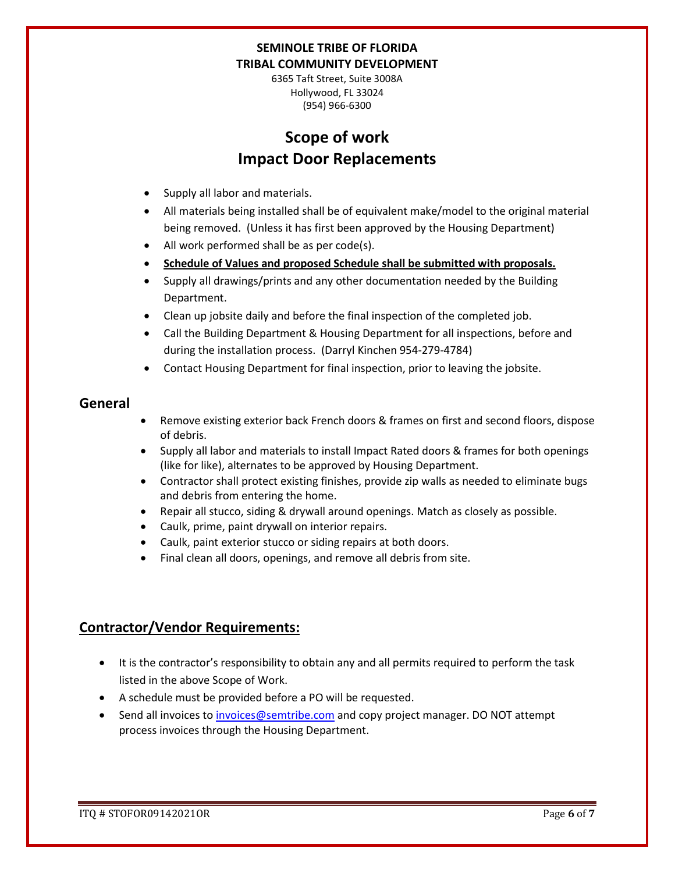6365 Taft Street, Suite 3008A Hollywood, FL 33024 (954) 966-6300

# **Scope of work Impact Door Replacements**

- Supply all labor and materials.
- All materials being installed shall be of equivalent make/model to the original material being removed. (Unless it has first been approved by the Housing Department)
- All work performed shall be as per code(s).
- **Schedule of Values and proposed Schedule shall be submitted with proposals.**
- Supply all drawings/prints and any other documentation needed by the Building Department.
- Clean up jobsite daily and before the final inspection of the completed job.
- Call the Building Department & Housing Department for all inspections, before and during the installation process. (Darryl Kinchen 954-279-4784)
- Contact Housing Department for final inspection, prior to leaving the jobsite.

### **General**

- Remove existing exterior back French doors & frames on first and second floors, dispose of debris.
- Supply all labor and materials to install Impact Rated doors & frames for both openings (like for like), alternates to be approved by Housing Department.
- Contractor shall protect existing finishes, provide zip walls as needed to eliminate bugs and debris from entering the home.
- Repair all stucco, siding & drywall around openings. Match as closely as possible.
- Caulk, prime, paint drywall on interior repairs.
- Caulk, paint exterior stucco or siding repairs at both doors.
- Final clean all doors, openings, and remove all debris from site.

## **Contractor/Vendor Requirements:**

- It is the contractor's responsibility to obtain any and all permits required to perform the task listed in the above Scope of Work.
- A schedule must be provided before a PO will be requested.
- Send all invoices to [invoices@semtribe.com](mailto:invoices@semtribe.com) and copy project manager. DO NOT attempt process invoices through the Housing Department.